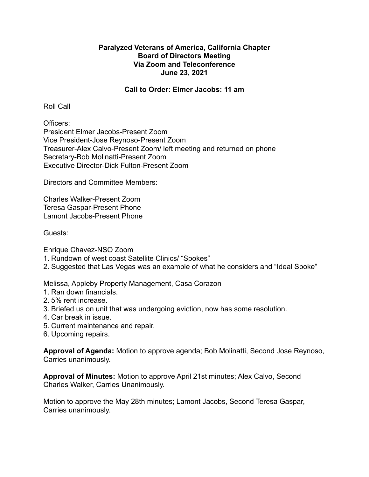## **Paralyzed Veterans of America, California Chapter Board of Directors Meeting Via Zoom and Teleconference June 23, 2021**

## **Call to Order: Elmer Jacobs: 11 am**

Roll Call

Officers: President Elmer Jacobs-Present Zoom Vice President-Jose Reynoso-Present Zoom Treasurer-Alex Calvo-Present Zoom/ left meeting and returned on phone Secretary-Bob Molinatti-Present Zoom Executive Director-Dick Fulton-Present Zoom

Directors and Committee Members:

Charles Walker-Present Zoom Teresa Gaspar-Present Phone Lamont Jacobs-Present Phone

Guests:

Enrique Chavez-NSO Zoom

- 1. Rundown of west coast Satellite Clinics/ "Spokes"
- 2. Suggested that Las Vegas was an example of what he considers and "Ideal Spoke"

Melissa, Appleby Property Management, Casa Corazon

- 1. Ran down financials.
- 2. 5% rent increase.
- 3. Briefed us on unit that was undergoing eviction, now has some resolution.
- 4. Car break in issue.
- 5. Current maintenance and repair.
- 6. Upcoming repairs.

**Approval of Agenda:** Motion to approve agenda; Bob Molinatti, Second Jose Reynoso, Carries unanimously.

**Approval of Minutes:** Motion to approve April 21st minutes; Alex Calvo, Second Charles Walker, Carries Unanimously.

Motion to approve the May 28th minutes; Lamont Jacobs, Second Teresa Gaspar, Carries unanimously.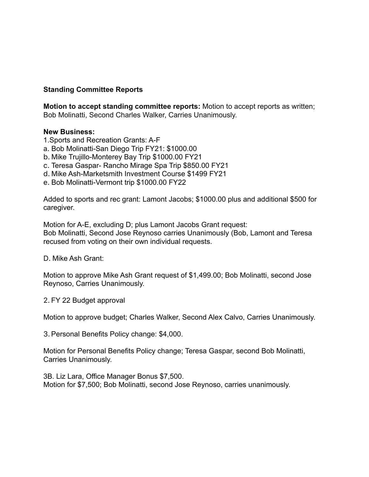## **Standing Committee Reports**

**Motion to accept standing committee reports:** Motion to accept reports as written; Bob Molinatti, Second Charles Walker, Carries Unanimously.

## **New Business:**

- 1.Sports and Recreation Grants: A-F
- a. Bob Molinatti-San Diego Trip FY21: \$1000.00
- b. Mike Trujillo-Monterey Bay Trip \$1000.00 FY21
- c. Teresa Gaspar- Rancho Mirage Spa Trip \$850.00 FY21
- d. Mike Ash-Marketsmith Investment Course \$1499 FY21
- e. Bob Molinatti-Vermont trip \$1000.00 FY22

Added to sports and rec grant: Lamont Jacobs; \$1000.00 plus and additional \$500 for caregiver.

Motion for A-E, excluding D; plus Lamont Jacobs Grant request: Bob Molinatti, Second Jose Reynoso carries Unanimously (Bob, Lamont and Teresa recused from voting on their own individual requests.

D. Mike Ash Grant:

Motion to approve Mike Ash Grant request of \$1,499.00; Bob Molinatti, second Jose Reynoso, Carries Unanimously.

2. FY 22 Budget approval

Motion to approve budget; Charles Walker, Second Alex Calvo, Carries Unanimously.

3.Personal Benefits Policy change: \$4,000.

Motion for Personal Benefits Policy change; Teresa Gaspar, second Bob Molinatti, Carries Unanimously.

3B. Liz Lara, Office Manager Bonus \$7,500. Motion for \$7,500; Bob Molinatti, second Jose Reynoso, carries unanimously.